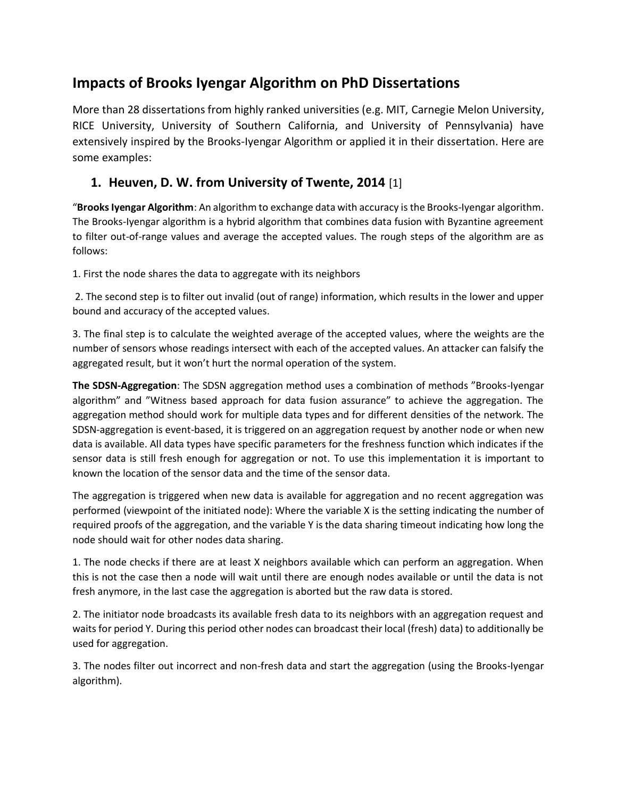# **Impacts of Brooks Iyengar Algorithm on PhD Dissertations**

More than 28 dissertations from highly ranked universities (e.g. MIT, Carnegie Melon University, RICE University, University of Southern California, and University of Pennsylvania) have extensively inspired by the Brooks-Iyengar Algorithm or applied it in their dissertation. Here are some examples:

#### **1. Heuven, D. W. from University of Twente, 2014** [1]

"**Brooks Iyengar Algorithm**: An algorithm to exchange data with accuracy is the Brooks-Iyengar algorithm. The Brooks-Iyengar algorithm is a hybrid algorithm that combines data fusion with Byzantine agreement to filter out-of-range values and average the accepted values. The rough steps of the algorithm are as follows:

1. First the node shares the data to aggregate with its neighbors

2. The second step is to filter out invalid (out of range) information, which results in the lower and upper bound and accuracy of the accepted values.

3. The final step is to calculate the weighted average of the accepted values, where the weights are the number of sensors whose readings intersect with each of the accepted values. An attacker can falsify the aggregated result, but it won't hurt the normal operation of the system.

**The SDSN-Aggregation**: The SDSN aggregation method uses a combination of methods "Brooks-Iyengar algorithm" and "Witness based approach for data fusion assurance" to achieve the aggregation. The aggregation method should work for multiple data types and for different densities of the network. The SDSN-aggregation is event-based, it is triggered on an aggregation request by another node or when new data is available. All data types have specific parameters for the freshness function which indicates if the sensor data is still fresh enough for aggregation or not. To use this implementation it is important to known the location of the sensor data and the time of the sensor data.

The aggregation is triggered when new data is available for aggregation and no recent aggregation was performed (viewpoint of the initiated node): Where the variable X is the setting indicating the number of required proofs of the aggregation, and the variable Y is the data sharing timeout indicating how long the node should wait for other nodes data sharing.

1. The node checks if there are at least X neighbors available which can perform an aggregation. When this is not the case then a node will wait until there are enough nodes available or until the data is not fresh anymore, in the last case the aggregation is aborted but the raw data is stored.

2. The initiator node broadcasts its available fresh data to its neighbors with an aggregation request and waits for period Y. During this period other nodes can broadcast their local (fresh) data) to additionally be used for aggregation.

3. The nodes filter out incorrect and non-fresh data and start the aggregation (using the Brooks-Iyengar algorithm).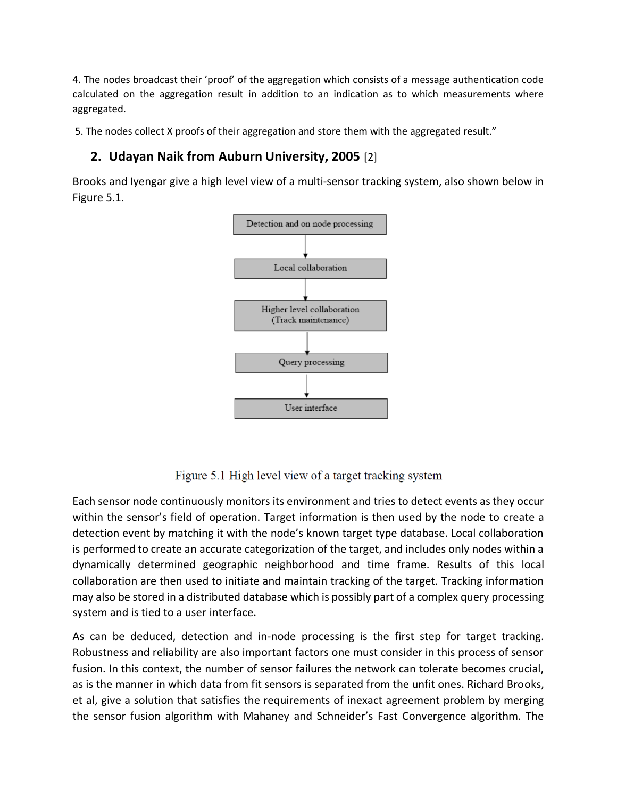4. The nodes broadcast their 'proof' of the aggregation which consists of a message authentication code calculated on the aggregation result in addition to an indication as to which measurements where aggregated.

5. The nodes collect X proofs of their aggregation and store them with the aggregated result."

#### **2. Udayan Naik from Auburn University, 2005** [2]

Brooks and Iyengar give a high level view of a multi-sensor tracking system, also shown below in Figure 5.1.



Figure 5.1 High level view of a target tracking system

Each sensor node continuously monitors its environment and tries to detect events as they occur within the sensor's field of operation. Target information is then used by the node to create a detection event by matching it with the node's known target type database. Local collaboration is performed to create an accurate categorization of the target, and includes only nodes within a dynamically determined geographic neighborhood and time frame. Results of this local collaboration are then used to initiate and maintain tracking of the target. Tracking information may also be stored in a distributed database which is possibly part of a complex query processing system and is tied to a user interface.

As can be deduced, detection and in-node processing is the first step for target tracking. Robustness and reliability are also important factors one must consider in this process of sensor fusion. In this context, the number of sensor failures the network can tolerate becomes crucial, as is the manner in which data from fit sensors is separated from the unfit ones. Richard Brooks, et al, give a solution that satisfies the requirements of inexact agreement problem by merging the sensor fusion algorithm with Mahaney and Schneider's Fast Convergence algorithm. The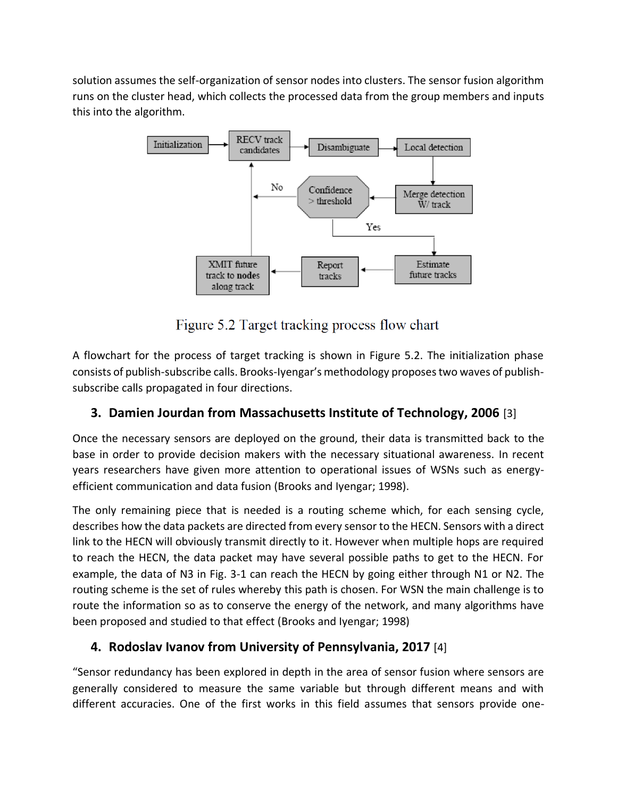solution assumes the self-organization of sensor nodes into clusters. The sensor fusion algorithm runs on the cluster head, which collects the processed data from the group members and inputs this into the algorithm.



Figure 5.2 Target tracking process flow chart

A flowchart for the process of target tracking is shown in Figure 5.2. The initialization phase consists of publish-subscribe calls. Brooks-Iyengar's methodology proposes two waves of publishsubscribe calls propagated in four directions.

# **3. Damien Jourdan from Massachusetts Institute of Technology, 2006** [3]

Once the necessary sensors are deployed on the ground, their data is transmitted back to the base in order to provide decision makers with the necessary situational awareness. In recent years researchers have given more attention to operational issues of WSNs such as energyefficient communication and data fusion (Brooks and Iyengar; 1998).

The only remaining piece that is needed is a routing scheme which, for each sensing cycle, describes how the data packets are directed from every sensor to the HECN. Sensors with a direct link to the HECN will obviously transmit directly to it. However when multiple hops are required to reach the HECN, the data packet may have several possible paths to get to the HECN. For example, the data of N3 in Fig. 3-1 can reach the HECN by going either through N1 or N2. The routing scheme is the set of rules whereby this path is chosen. For WSN the main challenge is to route the information so as to conserve the energy of the network, and many algorithms have been proposed and studied to that effect (Brooks and Iyengar; 1998)

### **4. Rodoslav Ivanov from University of Pennsylvania, 2017** [4]

"Sensor redundancy has been explored in depth in the area of sensor fusion where sensors are generally considered to measure the same variable but through different means and with different accuracies. One of the first works in this field assumes that sensors provide one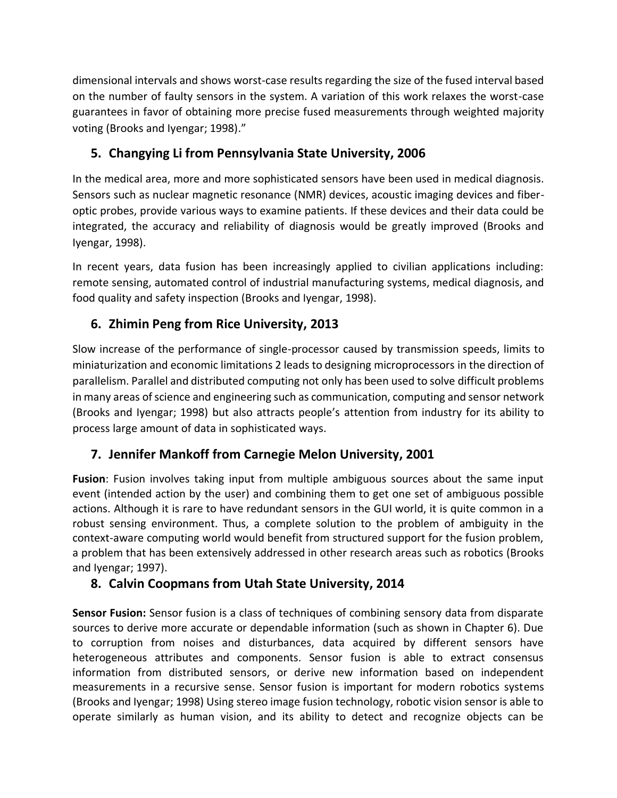dimensional intervals and shows worst-case results regarding the size of the fused interval based on the number of faulty sensors in the system. A variation of this work relaxes the worst-case guarantees in favor of obtaining more precise fused measurements through weighted majority voting (Brooks and Iyengar; 1998)."

## **5. Changying Li from Pennsylvania State University, 2006**

In the medical area, more and more sophisticated sensors have been used in medical diagnosis. Sensors such as nuclear magnetic resonance (NMR) devices, acoustic imaging devices and fiberoptic probes, provide various ways to examine patients. If these devices and their data could be integrated, the accuracy and reliability of diagnosis would be greatly improved (Brooks and Iyengar, 1998).

In recent years, data fusion has been increasingly applied to civilian applications including: remote sensing, automated control of industrial manufacturing systems, medical diagnosis, and food quality and safety inspection (Brooks and Iyengar, 1998).

## **6. Zhimin Peng from Rice University, 2013**

Slow increase of the performance of single-processor caused by transmission speeds, limits to miniaturization and economic limitations 2 leads to designing microprocessors in the direction of parallelism. Parallel and distributed computing not only has been used to solve difficult problems in many areas of science and engineering such as communication, computing and sensor network (Brooks and Iyengar; 1998) but also attracts people's attention from industry for its ability to process large amount of data in sophisticated ways.

### **7. Jennifer Mankoff from Carnegie Melon University, 2001**

**Fusion**: Fusion involves taking input from multiple ambiguous sources about the same input event (intended action by the user) and combining them to get one set of ambiguous possible actions. Although it is rare to have redundant sensors in the GUI world, it is quite common in a robust sensing environment. Thus, a complete solution to the problem of ambiguity in the context-aware computing world would benefit from structured support for the fusion problem, a problem that has been extensively addressed in other research areas such as robotics (Brooks and Iyengar; 1997).

### **8. Calvin Coopmans from Utah State University, 2014**

**Sensor Fusion:** Sensor fusion is a class of techniques of combining sensory data from disparate sources to derive more accurate or dependable information (such as shown in Chapter 6). Due to corruption from noises and disturbances, data acquired by different sensors have heterogeneous attributes and components. Sensor fusion is able to extract consensus information from distributed sensors, or derive new information based on independent measurements in a recursive sense. Sensor fusion is important for modern robotics systems (Brooks and Iyengar; 1998) Using stereo image fusion technology, robotic vision sensor is able to operate similarly as human vision, and its ability to detect and recognize objects can be